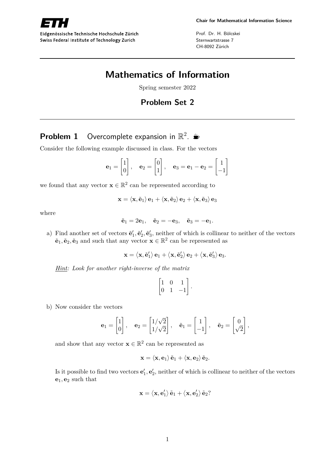

Eidgenössische Technische Hochschule Zürich Swiss Federal Institute of Technology Zurich

Prof. Dr. H. Bölcskei Sternwartstrasse 7 CH-8092 Zürich

# **Mathematics of Information**

Spring semester 2022

## **Problem Set 2**

# **Problem 1** Overcomplete expansion in  $\mathbb{R}^2$ .

Consider the following example discussed in class. For the vectors

$$
\mathbf{e}_1 = \begin{bmatrix} 1 \\ 0 \end{bmatrix}, \quad \mathbf{e}_2 = \begin{bmatrix} 0 \\ 1 \end{bmatrix}, \quad \mathbf{e}_3 = \mathbf{e}_1 - \mathbf{e}_2 = \begin{bmatrix} 1 \\ -1 \end{bmatrix}
$$

we found that any vector  $\mathbf{x} \in \mathbb{R}^2$  can be represented according to

$$
\mathbf{x} = \left\langle \mathbf{x}, \tilde{\mathbf{e}}_1 \right\rangle \mathbf{e}_1 + \left\langle \mathbf{x}, \tilde{\mathbf{e}}_2 \right\rangle \mathbf{e}_2 + \left\langle \mathbf{x}, \tilde{\mathbf{e}}_3 \right\rangle \mathbf{e}_3
$$

where

$$
\tilde{\mathbf{e}}_1 = 2\mathbf{e}_1, \quad \tilde{\mathbf{e}}_2 = -\mathbf{e}_3, \quad \tilde{\mathbf{e}}_3 = -\mathbf{e}_1.
$$

a) Find another set of vectors  $\tilde{\mathbf{e}}'_1$ ,  $\tilde{\mathbf{e}}'_2$ ,  $\tilde{\mathbf{e}}'_3$ , neither of which is collinear to neither of the vectors  $\tilde{\mathbf{e}}_1, \tilde{\mathbf{e}}_2, \tilde{\mathbf{e}}_3$  and such that any vector  $\mathbf{x} \in \mathbb{R}^2$  can be represented as

$$
\mathbf{x}=\left\langle \mathbf{x}, \tilde{\mathbf{e}}_1'\right\rangle \mathbf{e}_1+\left\langle \mathbf{x}, \tilde{\mathbf{e}}_2'\right\rangle \mathbf{e}_2+\left\langle \mathbf{x}, \tilde{\mathbf{e}}_3'\right\rangle \mathbf{e}_3.
$$

*Hint: Look for another right-inverse of the matrix*

$$
\begin{bmatrix} 1 & 0 & 1 \\ 0 & 1 & -1 \end{bmatrix}.
$$

b) Now consider the vectors

$$
\mathbf{e}_1 = \begin{bmatrix} 1 \\ 0 \end{bmatrix}, \quad \mathbf{e}_2 = \begin{bmatrix} 1/\sqrt{2} \\ 1/\sqrt{2} \end{bmatrix}, \quad \tilde{\mathbf{e}}_1 = \begin{bmatrix} 1 \\ -1 \end{bmatrix}, \quad \tilde{\mathbf{e}}_2 = \begin{bmatrix} 0 \\ \sqrt{2} \end{bmatrix},
$$

and show that any vector  $\mathbf{x} \in \mathbb{R}^2$  can be represented as

$$
\mathbf{x}=\left\langle \mathbf{x},\mathbf{e}_{1}\right\rangle \tilde{\mathbf{e}}_{1}+\left\langle \mathbf{x},\mathbf{e}_{2}\right\rangle \tilde{\mathbf{e}}_{2}.
$$

Is it possible to find two vectors  $\mathbf{e}'_1, \mathbf{e}'_2$ , neither of which is collinear to neither of the vectors **e**1*,* **e**<sup>2</sup> such that

$$
\mathbf{x}=\left\langle \mathbf{x},\mathbf{e}_{1}^{\prime}\right\rangle \tilde{\mathbf{e}}_{1}+\left\langle \mathbf{x},\mathbf{e}_{2}^{\prime}\right\rangle \tilde{\mathbf{e}}_{2}?
$$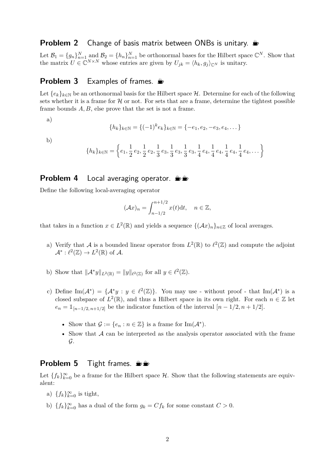### **Problem 2** Change of basis matrix between ONBs is unitary.  $\triangleq$

Let  $\mathcal{B}_1 = \{g_n\}_{n=1}^N$  and  $\mathcal{B}_2 = \{h_n\}_{n=1}^N$  be orthonormal bases for the Hilbert space  $\mathbb{C}^N$ . Show that the matrix  $U \in \mathbb{C}^{N \times N}$  whose entries are given by  $U_{jk} = \langle h_k, g_j \rangle_{\mathbb{C}^N}$  is unitary.

### **Problem 3** Examples of frames.

Let  ${e_k}_{k \in \mathbb{N}}$  be an orthonormal basis for the Hilbert space  $H$ . Determine for each of the following sets whether it is a frame for  $H$  or not. For sets that are a frame, determine the tightest possible frame bounds *A, B*, else prove that the set is not a frame.

a)

$$
\{h_k\}_{k \in \mathbb{N}} = \{(-1)^k e_k\}_{k \in \mathbb{N}} = \{-e_1, e_2, -e_3, e_4, \dots\}
$$

b)

$$
\{h_k\}_{k\in\mathbb{N}}=\left\{e_1,\frac{1}{2}\,e_2,\frac{1}{2}\,e_2,\frac{1}{3}\,e_3,\frac{1}{3}\,e_3,\frac{1}{3}\,e_3,\frac{1}{4}\,e_4,\frac{1}{4}\,e_4,\frac{1}{4}\,e_4,\frac{1}{4}\,e_4,\dots\right\}
$$

#### **Problem 4** Local averaging operator.  $\frac{16}{10}$

Define the following local-averaging operator

$$
(\mathcal{A}x)_n = \int_{n-1/2}^{n+1/2} x(t) \mathrm{d}t, \quad n \in \mathbb{Z},
$$

that takes in a function  $x \in L^2(\mathbb{R})$  and yields a sequence  $\{(\mathcal{A}x)_n\}_{n\in\mathbb{Z}}$  of local averages.

- a) Verify that A is a bounded linear operator from  $L^2(\mathbb{R})$  to  $\ell^2(\mathbb{Z})$  and compute the adjoint  $\mathcal{A}^*: \ell^2(\mathbb{Z}) \to L^2(\mathbb{R})$  of  $\mathcal{A}.$
- b) Show that  $\|\mathcal{A}^*y\|_{L^2(\mathbb{R})} = \|y\|_{\ell^2(\mathbb{Z})}$  for all  $y \in \ell^2(\mathbb{Z})$ .
- c) Define  $\text{Im}(\mathcal{A}^*) = {\mathcal{A}^*y : y \in \ell^2(\mathbb{Z})}.$  You may use without proof that  $\text{Im}(\mathcal{A}^*)$  is a closed subspace of  $L^2(\mathbb{R})$ , and thus a Hilbert space in its own right. For each  $n \in \mathbb{Z}$  let  $e_n = \mathbb{1}_{[n-1/2, n+1/2]}$  be the indicator function of the interval  $[n-1/2, n+1/2]$ .
	- Show that  $\mathcal{G} := \{e_n : n \in \mathbb{Z}\}\$ is a frame for Im $(\mathcal{A}^*)$ .
	- Show that A can be interpreted as the analysis operator associated with the frame  $\mathcal{G}.$

#### **Problem 5** Tight frames.  $\frac{16}{100}$

Let  ${f_k}_{k=0}^{\infty}$  be a frame for the Hilbert space  $H$ . Show that the following statements are equivalent:

- a)  $\{f_k\}_{k=0}^{\infty}$  is tight,
- b)  ${f_k}_{k=0}^{\infty}$  has a dual of the form  $g_k = C f_k$  for some constant  $C > 0$ .